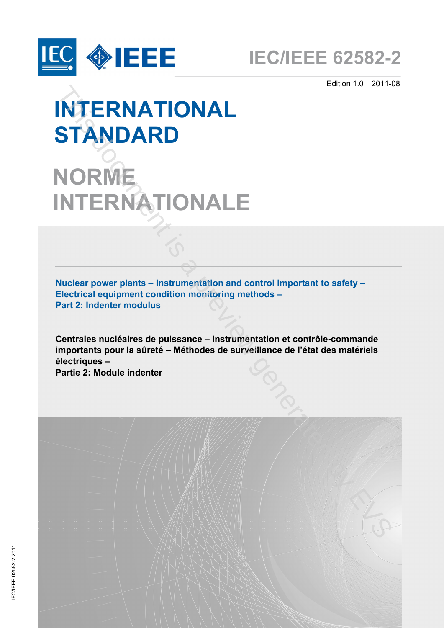



Edition 1.0 2011-08

# **INTERNATIONAL STANDARD**

# **NORME<br>INTERNATIONALE**

**Nuclear power plants – Instrumentation and control important to safety – Electrical equipment condition monitoring methods – Part 2: Indenter modulus**

**Centrales nucléaires de puissance – Instrumentation et contrôle-commande importants pour la sûreté – Méthodes de surveillance de l'état des matériels électriques – INTERNATIONALE** This document is a preview generated by EVS

**Partie 2: Module indenter**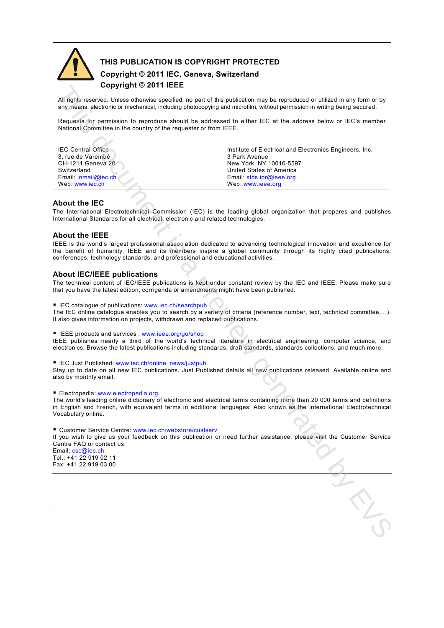

# **THIS PUBLICATION IS COPYRIGHT PROTECTED Copyright © 2011 IEC, Geneva, Switzerland**

# **Copyright © 2011 IEEE**

All rights reserved. Unless otherwise specified, no part of this publication may be reproduced or utilized in any form or by any means, electronic or mechanical, including photocopying and microfilm, without permission in writing being secured.

Requests for permission to reproduce should be addressed to either IEC at the address below or IEC's member National Committee in the country of the requester or from IEEE.

3, rue de Varembé<br>CH-1211 Geneva 20

IEC Central Office<br>
3. rue de Varembé CH-1211 Geneva 20 New York, NY 10016-5597<br>
Switzerland United States of America Switzerland United States of America<br>
Email: inmail@iec.ch<br>
Email: stds.ipr@ieee.org Email: inmail@iec.ch Email: stds.ipr@ieee.org<br>
Web: www.iec.ch Web: www.ieee.org Web: www.ieee.org

# **About the IEC**

The International Electrotechnical Commission (IEC) is the leading global organization that prepares and publishes International Standards for all electrical, electronic and related technologies.

#### **About the IEEE**

IEEE is the world's largest professional association dedicated to advancing technological innovation and excellence for the benefit of humanity. IEEE and its members inspire a global community through its highly cited publications, conferences, technology standards, and professional and educational activities.

#### **About IEC/IEEE publications**

The technical content of IEC/IEEE publications is kept under constant review by the IEC and IEEE. Please make sure that you have the latest edition; corrigenda or amendments might have been published.

■ IEC catalogue of publications: www.iec.ch/searchpub

The IEC online catalogue enables you to search by a variety of criteria (reference number, text, technical committee,…). It also gives information on projects, withdrawn and replaced publications.

**IEEE** products and services : www.ieee.org/go/shop

IEEE publishes nearly a third of the world's technical literature in electrical engineering, computer science, and electronics. Browse the latest publications including standards, draft standards, standards collections, and much more.

■ IEC Just Published: www.iec.ch/online\_news/justpub

Stay up to date on all new IEC publications. Just Published details all new publications released. Available online and also by monthly email.

**Electropedia: www.electropedia.org** 

The world's leading online dictionary of electronic and electrical terms containing more than 20 000 terms and definitions in English and French, with equivalent terms in additional languages. Also known as the International Electrotechnical Vocabulary online.

■ Customer Service Centre: www.iec.ch/webstore/custserv If you wish to give us your feedback on this publication or need further assistance, please visit the Customer Service Centre FAQ or contact us: Email: csc@iec.ch Tel.: +41 22 919 02 11 Fax: +41 22 919 03 00 All pair exp[re](http://www.iec.ch/searchpub)ssions and the pair of the pair of the properties of the matterns in the control of the system of the system of the system of the system of the system of the system of the system of the system of the system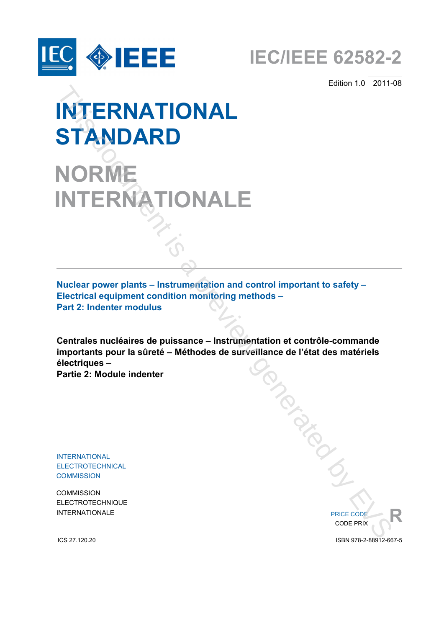



Edition 1.0 2011-08

# **INTERNATIONAL STANDARD**

**NORME**

**Nuclear power plants – Instrumentation and control important to safety – Electrical equipment condition monitoring methods – Part 2: Indenter modulus**

**Centrales nucléaires de puissance – Instrumentation et contrôle-commande importants pour la sûreté – Méthodes de surveillance de l'état des matériels électriques – INTERNATIONAL**<br> **INTERNATIONALE**<br>
INTERNATIONALE<br>
INTERNATIONALE<br>
Nuclear power plants – instrumentation and control important to safety –<br>
Electrical equipment condition moniforing methods –<br>
cantrales nuclearizes de pui

**Partie 2: Module indenter**

INTERNATIONAL ELECTROTECHNICAL **COMMISSION** 

**COMMISSION** ELECTROTECHNIQUE INTERNATIONALE **Example 2018** PRICE CODE



ICS 27.120.20 ISBN 978-2-88912-667-5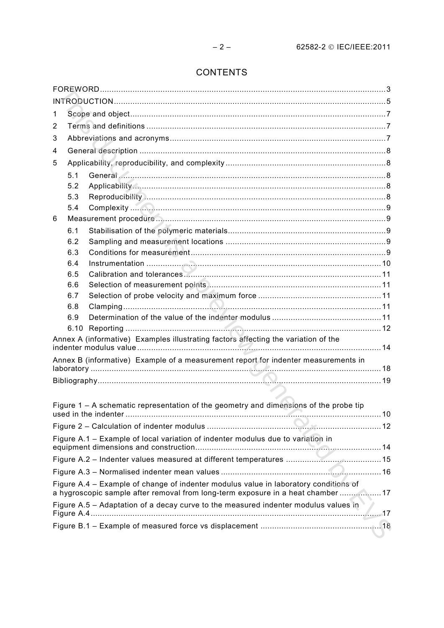# **CONTENTS**

| 1                                                                                     |                                                                                      |                                                                                    |  |  |  |
|---------------------------------------------------------------------------------------|--------------------------------------------------------------------------------------|------------------------------------------------------------------------------------|--|--|--|
| 2                                                                                     |                                                                                      |                                                                                    |  |  |  |
| 3                                                                                     |                                                                                      |                                                                                    |  |  |  |
| 4                                                                                     |                                                                                      |                                                                                    |  |  |  |
| 5                                                                                     |                                                                                      |                                                                                    |  |  |  |
|                                                                                       | 5.1                                                                                  |                                                                                    |  |  |  |
|                                                                                       | 5.2                                                                                  |                                                                                    |  |  |  |
|                                                                                       | 5.3                                                                                  |                                                                                    |  |  |  |
|                                                                                       | 5.4                                                                                  |                                                                                    |  |  |  |
| 6                                                                                     |                                                                                      |                                                                                    |  |  |  |
|                                                                                       | 6.1                                                                                  |                                                                                    |  |  |  |
|                                                                                       | 6.2                                                                                  |                                                                                    |  |  |  |
|                                                                                       | 6.3                                                                                  |                                                                                    |  |  |  |
|                                                                                       | 6.4                                                                                  |                                                                                    |  |  |  |
|                                                                                       | 6.5                                                                                  |                                                                                    |  |  |  |
|                                                                                       | 6.6                                                                                  |                                                                                    |  |  |  |
|                                                                                       | 6.7                                                                                  |                                                                                    |  |  |  |
|                                                                                       | 6.8                                                                                  |                                                                                    |  |  |  |
|                                                                                       | 6.9                                                                                  |                                                                                    |  |  |  |
|                                                                                       |                                                                                      |                                                                                    |  |  |  |
|                                                                                       |                                                                                      | Annex A (informative) Examples illustrating factors affecting the variation of the |  |  |  |
|                                                                                       |                                                                                      | Annex B (informative) Example of a measurement report for indenter measurements in |  |  |  |
|                                                                                       |                                                                                      |                                                                                    |  |  |  |
|                                                                                       |                                                                                      |                                                                                    |  |  |  |
|                                                                                       |                                                                                      |                                                                                    |  |  |  |
| Figure 1 – A schematic representation of the geometry and dimensions of the probe tip |                                                                                      |                                                                                    |  |  |  |
|                                                                                       |                                                                                      |                                                                                    |  |  |  |
|                                                                                       |                                                                                      | Figure A.1 - Example of local variation of indenter modulus due to variation in    |  |  |  |
|                                                                                       |                                                                                      |                                                                                    |  |  |  |
|                                                                                       |                                                                                      |                                                                                    |  |  |  |
|                                                                                       | Figure A.4 - Example of change of indenter modulus value in laboratory conditions of |                                                                                    |  |  |  |
|                                                                                       | a hygroscopic sample after removal from long-term exposure in a heat chamber 17      |                                                                                    |  |  |  |
|                                                                                       | Figure A.5 - Adaptation of a decay curve to the measured indenter modulus values in  |                                                                                    |  |  |  |
|                                                                                       |                                                                                      |                                                                                    |  |  |  |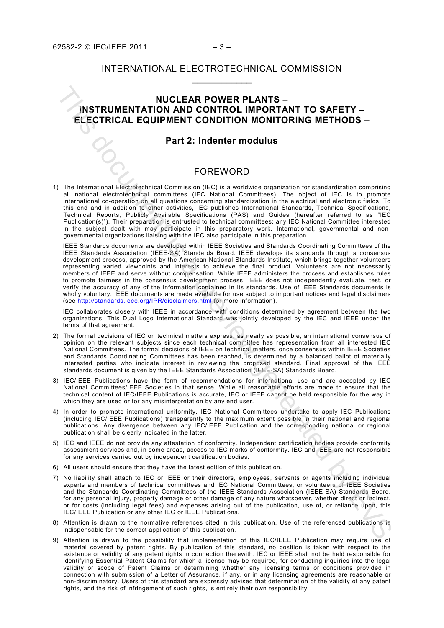# INTERNATIONAL ELECTROTECHNICAL COMMISSION \_\_\_\_\_\_\_\_\_\_\_\_

# **NUCLEAR POWER PLANTS – INSTRUMENTATION AND CONTROL IMPORTANT TO SAFETY – ELECTRICAL EQUIPMENT CONDITION MONITORING METHODS –**

## **Part 2: Indenter modulus**

# FOREWORD

1) The International Electrotechnical Commission (IEC) is a worldwide organization for standardization comprising all national electrotechnical committees (IEC National Committees). The object of IEC is to promote international co-operation on all questions concerning standardization in the electrical and electronic fields. To this end and in addition to other activities, IEC publishes International Standards, Technical Specifications, Technical Reports, Publicly Available Specifications (PAS) and Guides (hereafter referred to as "IEC Publication(s)"). Their preparation is entrusted to technical committees; any IEC National Committee interested in the subject dealt with may participate in this preparatory work. International, governmental and nongovernmental organizations liaising with the IEC also participate in this preparation.

IEEE Standards documents are developed within IEEE Societies and Standards Coordinating Committees of the IEEE Standards Association (IEEE-SA) Standards Board. IEEE develops its standards through a consensus development process, approved by the American National Standards Institute, which brings together volunteers representing varied viewpoints and interests to achieve the final product. Volunteers are not necessarily members of IEEE and serve without compensation. While IEEE administers the process and establishes rules to promote fairness in the consensus development process, IEEE does not independently evaluate, test, or verify the accuracy of any of the information contained in its standards. Use of IEEE Standards documents is wholly voluntary. IEEE documents are made available for use subject to important notices and legal disclaimers (see http://standards.ieee.org/IPR/disclaimers.html for more information). **NIOCLEAR POWER PLANTS --**<br> **FINSTRIMENT CONDITION MONDOCONTED MONTGOMETRY --<br>
ELECTRICAL EQUIPMENT CONDITION MONITORING METHODS --<br>
Part 2: Indentite modulus<br>
Part 2: Indentite modulus<br>
Part 2: Indentite modulus<br>
Part 2:** 

IEC collaborates closely with IEEE in accordance with conditions determined by agreement between the two organizations. This Dual Logo International Standard was jointly developed by the IEC and IEEE under the terms of that agreement.

- 2) The formal decisions of IEC on technical matters express, as nearly as possible, an international consensus of opinion on the relevant subjects since each technical committee has representation from all interested IEC National Committees. The formal decisions of IEEE on technical matters, once consensus within IEEE Societies and Standards Coordinating Committees has been reached, is determined by a balanced ballot of materially interested parties who indicate interest in reviewing the proposed standard. Final approval of the IEEE standards document is given by the IEEE Standards Association (IEEE-SA) Standards Board.
- 3) IEC/IEEE Publications have the form of recommendations for international use and are accepted by IEC National Committees/IEEE Societies in that sense. While all reasonable efforts are made to ensure that the technical content of IEC/IEEE Publications is accurate, IEC or IEEE cannot be held responsible for the way in which they are used or for any misinterpretation by any end user.
- 4) In order to promote international uniformity, IEC National Committees undertake to apply IEC Publications (including IEC/IEEE Publications) transparently to the maximum extent possible in their national and regional publications. Any divergence between any IEC/IEEE Publication and the corresponding national or regional publication shall be clearly indicated in the latter.
- 5) IEC and IEEE do not provide any attestation of conformity. Independent certification bodies provide conformity assessment services and, in some areas, access to IEC marks of conformity. IEC and IEEE are not responsible for any services carried out by independent certification bodies.
- 6) All users should ensure that they have the latest edition of this publication.
- 7) No liability shall attach to IEC or IEEE or their directors, employees, servants or agents including individual experts and members of technical committees and IEC National Committees, or volunteers of IEEE Societies and the Standards Coordinating Committees of the IEEE Standards Association (IEEE-SA) Standards Board, for any personal injury, property damage or other damage of any nature whatsoever, whether direct or indirect, or for costs (including legal fees) and expenses arising out of the publication, use of, or reliance upon, this IEC/IEEE Publication or any other IEC or IEEE Publications.
- 8) Attention is drawn to the normative references cited in this publication. Use of the referenced publications is indispensable for the correct application of this publication.
- 9) Attention is drawn to the possibility that implementation of this IEC/IEEE Publication may require use of material covered by patent rights. By publication of this standard, no position is taken with respect to the existence or validity of any patent rights in connection therewith. IEC or IEEE shall not be held responsible for identifying Essential Patent Claims for which a license may be required, for conducting inquiries into the legal validity or scope of Patent Claims or determining whether any licensing terms or conditions provided in connection with submission of a Letter of Assurance, if any, or in any licensing agreements are reasonable or non-discriminatory. Users of this standard are expressly advised that determination of the validity of any patent rights, and the risk of infringement of such rights, is entirely their own responsibility.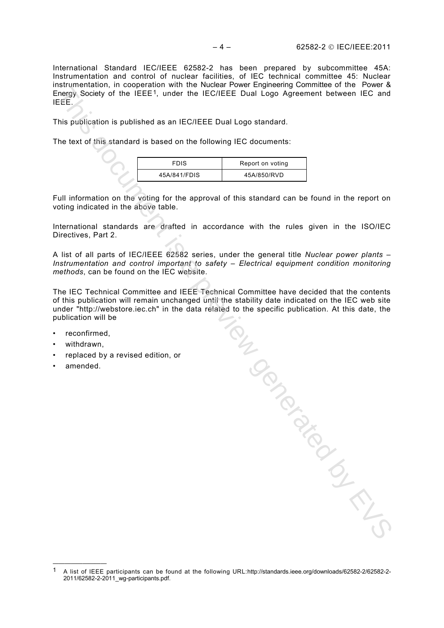New Previous C.

International Standard IEC/IEEE 62582-2 has been prepared by subcommittee 45A: Instrumentation and control of nuclear facilities, of IEC technical committee 45: Nuclear instrumentation, in cooperation with the Nuclear Power Engineering Committee of the Power & Energy Society of the IEEE1, under the IEC/IEEE Dual Logo Agreement between IEC and IEEE.

This publication is published as an IEC/IEEE Dual Logo standard.

The text of this standard is based on the following IEC documents:

| <b>FDIS</b>  | Report on voting |
|--------------|------------------|
| 45A/841/FDIS | 45A/850/RVD      |

Full information on the voting for the approval of this standard can be found in the report on voting indicated in the above table.

International standards are drafted in accordance with the rules given in the ISO/IEC Directives, Part 2.

A list of all parts of IEC/IEEE 62582 series, under the general title *Nuclear power plants –*  Instrumentation and control important to safety - Electrical equipment condition monitoring *methods*, can be found on the IEC website.

The IEC Technical Committee and IEEE Technical Committee have decided that the contents of this publication will remain unchanged until the stability date indicated on the IEC web site under "http://webstore.iec.ch" in the data related to the specific publication. At this date, the publication will be

- reconfirmed,
- withdrawn.
- replaced by a revised edition, or
- amended.

—————————

<span id="page-5-0"></span><sup>1</sup> A list of IEEE participants can be found at the following URL[:http://standards.ieee.org/downloads/62582-2/62582-2-](http://standards.ieee.org/downloads/62582-2/62582-2-2011/62582-2-2011_wg-participants.pdf) [2011/62582-2-2011\\_wg-participants.pdf.](http://standards.ieee.org/downloads/62582-2/62582-2-2011/62582-2-2011_wg-participants.pdf)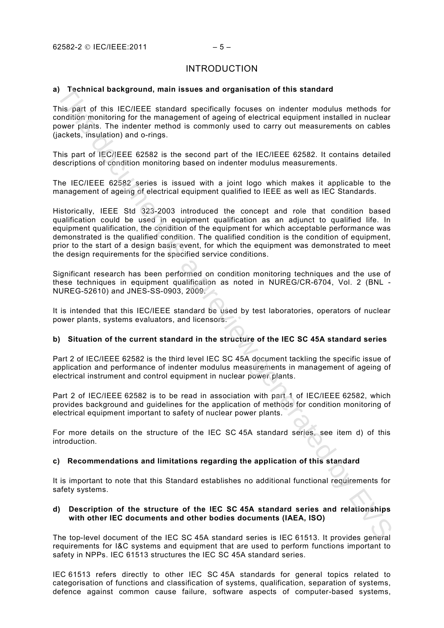# INTRODUCTION

#### **a) Technical background, main issues and organisation of this standard**

This part of this IEC/IEEE standard specifically focuses on indenter modulus methods for condition monitoring for the management of ageing of electrical equipment installed in nuclear power plants. The indenter method is commonly used to carry out measurements on cables (jackets, insulation) and o-rings.

This part of IEC/IEEE 62582 is the second part of the IEC/IEEE 62582. It contains detailed descriptions of condition monitoring based on indenter modulus measurements.

The IEC/IEEE 62582 series is issued with a joint logo which makes it applicable to the management of ageing of electrical equipment qualified to IEEE as well as IEC Standards.

Historically, IEEE Std 323-2003 introduced the concept and role that condition based qualification could be used in equipment qualification as an adjunct to qualified life. In equipment qualification, the condition of the equipment for which acceptable performance was demonstrated is the qualified condition. The qualified condition is the condition of equipment, prior to the start of a design basis event, for which the equipment was demonstrated to meet the design requirements for the specified service conditions. J Technical background, main issues and organisation of this standard<br>this part of this lifeCliff-E standard specifically focuses on indenter modulus methods for<br>condition monitoring for the management of ageng of electic

Significant research has been performed on condition monitoring techniques and the use of these techniques in equipment qualification as noted in NUREG/CR-6704, Vol. 2 (BNL - NUREG-52610) and JNES-SS-0903, 2009.

It is intended that this IEC/IEEE standard be used by test laboratories, operators of nuclear power plants, systems evaluators, and licensors.

## **b) Situation of the current standard in the structure of the IEC SC 45A standard series**

Part 2 of IEC/IEEE 62582 is the third level IEC SC 45A document tackling the specific issue of application and performance of indenter modulus measurements in management of ageing of electrical instrument and control equipment in nuclear power plants.

Part 2 of IEC/IEEE 62582 is to be read in association with part 1 of IEC/IEEE 62582, which provides background and guidelines for the application of methods for condition monitoring of electrical equipment important to safety of nuclear power plants.

For more details on the structure of the IEC SC 45A standard series, see item d) of this introduction.

# **c) Recommendations and limitations regarding the application of this standard**

It is important to note that this Standard establishes no additional functional requirements for safety systems.

### **d) Description of the structure of the IEC SC 45A standard series and relationships with other IEC documents and other bodies documents (IAEA, ISO)**

The top-level document of the IEC SC 45A standard series is IEC 61513. It provides general requirements for I&C systems and equipment that are used to perform functions important to safety in NPPs. IEC 61513 structures the IEC SC 45A standard series.

IEC 61513 refers directly to other IEC SC 45A standards for general topics related to categorisation of functions and classification of systems, qualification, separation of systems, defence against common cause failure, software aspects of computer-based systems,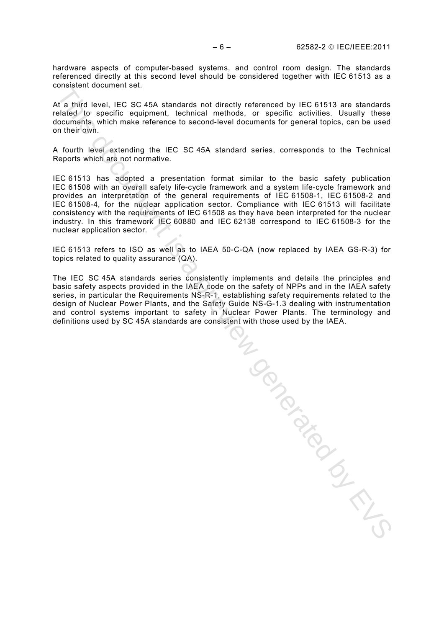hardware aspects of computer-based systems, and control room design. The standards referenced directly at this second level should be considered together with IEC 61513 as a consistent document set.

At a third level, IEC SC 45A standards not directly referenced by IEC 61513 are standards related to specific equipment, technical methods, or specific activities. Usually these documents, which make reference to second-level documents for general topics, can be used on their own.

A fourth level extending the IEC SC 45A standard series, corresponds to the Technical Reports which are not normative.

IEC 61513 has adopted a presentation format similar to the basic safety publication IEC 61508 with an overall safety life-cycle framework and a system life-cycle framework and provides an interpretation of the general requirements of IEC 61508-1, IEC 61508-2 and IEC 61508-4, for the nuclear application sector. Compliance with IEC 61513 will facilitate consistency with the requirements of IEC 61508 as they have been interpreted for the nuclear industry. In this framework IEC 60880 and IEC 62138 correspond to IEC 61508-3 for the nuclear application sector.

IEC 61513 refers to ISO as well as to IAEA 50-C-QA (now replaced by IAEA GS-R-3) for topics related to quality assurance (QA).

The IEC SC 45A standards series consistently implements and details the principles and basic safety aspects provided in the IAEA code on the safety of NPPs and in the IAEA safety series, in particular the Requirements NS-R-1, establishing safety requirements related to the design of Nuclear Power Plants, and the Safety Guide NS-G-1.3 dealing with instrumentation and control systems important to safety in Nuclear Power Plants. The terminology and

and control systems impoutant to safety in whole used by the IAEA.